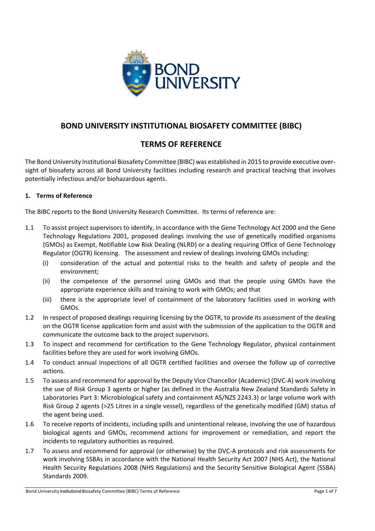

# **BOND UNIVERSITY INSTITUTIONAL BIOSAFETY COMMITTEE (BIBC)**

# **TERMS OF REFERENCE**

The Bond University Institutional Biosafety Committee (BIBC) was established in 2015 to provide executive oversight of biosafety across all Bond University facilities including research and practical teaching that involves potentially infectious and/or biohazardous agents.

### **1. Terms of Reference**

The BIBC reports to the Bond University Research Committee. Its terms of reference are:

- 1.1 To assist project supervisors to identify, in accordance with the Gene Technology Act 2000 and the Gene Technology Regulations 2001, proposed dealings involving the use of genetically modified organisms (GMOs) as Exempt, Notifiable Low Risk Dealing (NLRD) or a dealing requiring Office of Gene Technology Regulator (OGTR) licensing. The assessment and review of dealings involving GMOs including:
	- (i) consideration of the actual and potential risks to the health and safety of people and the environment;
	- (ii) the competence of the personnel using GMOs and that the people using GMOs have the appropriate experience skills and training to work with GMOs; and that
	- (iii) there is the appropriate level of containment of the laboratory facilities used in working with GMOs.
- 1.2 In respect of proposed dealings requiring licensing by the OGTR, to provide its assessment of the dealing on the OGTR license application form and assist with the submission of the application to the OGTR and communicate the outcome back to the project supervisors.
- 1.3 To inspect and recommend for certification to the Gene Technology Regulator, physical containment facilities before they are used for work involving GMOs.
- 1.4 To conduct annual inspections of all OGTR certified facilities and oversee the follow up of corrective actions.
- 1.5 To assess and recommend for approval by the Deputy Vice Chancellor (Academic) (DVC-A) work involving the use of Risk Group 3 agents or higher (as defined in the Australia New Zealand Standards Safety in Laboratories Part 3: Microbiological safety and containment AS/NZS 2243.3) or large volume work with Risk Group 2 agents (>25 Litres in a single vessel), regardless of the genetically modified (GM) status of the agent being used.
- 1.6 To receive reports of incidents, including spills and unintentional release, involving the use of hazardous biological agents and GMOs, recommend actions for improvement or remediation, and report the incidents to regulatory authorities as required.
- 1.7 To assess and recommend for approval (or otherwise) by the DVC-A protocols and risk assessments for work involving SSBAs in accordance with the National Health Security Act 2007 (NHS Act), the National Health Security Regulations 2008 (NHS Regulations) and the Security Sensitive Biological Agent (SSBA) Standards 2009.

Bond University Institutional Biosafety Committee (BIBC) Terms of Reference **Page 1** of 7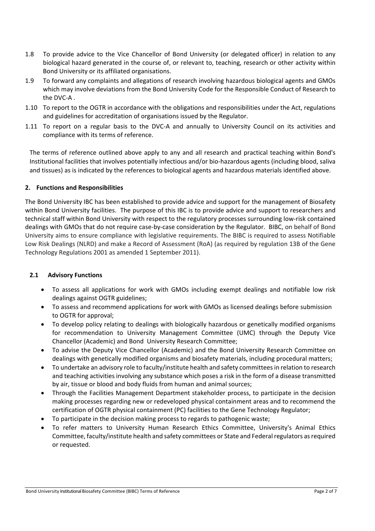- 1.8 To provide advice to the Vice Chancellor of Bond University (or delegated officer) in relation to any biological hazard generated in the course of, or relevant to, teaching, research or other activity within Bond University or its affiliated organisations.
- 1.9 To forward any complaints and allegations of research involving hazardous biological agents and GMOs which may involve deviations from the Bond University Code for the Responsible Conduct of Research to the DVC-A .
- 1.10 To report to the OGTR in accordance with the obligations and responsibilities under the Act, regulations and guidelines for accreditation of organisations issued by the Regulator.
- 1.11 To report on a regular basis to the DVC-A and annually to University Council on its activities and compliance with its terms of reference.

The terms of reference outlined above apply to any and all research and practical teaching within Bond's Institutional facilities that involves potentially infectious and/or bio-hazardous agents (including blood, saliva and tissues) as is indicated by the references to biological agents and hazardous materials identified above.

### **2. Functions and Responsibilities**

The Bond University IBC has been established to provide advice and support for the management of Biosafety within Bond University facilities. The purpose of this IBC is to provide advice and support to researchers and technical staff within Bond University with respect to the regulatory processes surrounding low-risk contained dealings with GMOs that do not require case-by-case consideration by the Regulator. BIBC, on behalf of Bond University aims to ensure compliance with legislative requirements. The BIBC is required to assess Notifiable Low Risk Dealings (NLRD) and make a Record of Assessment (RoA) (as required by regulation 13B of the Gene Technology Regulations 2001 as amended 1 September 2011).

#### **2.1 Advisory Functions**

- To assess all applications for work with GMOs including exempt dealings and notifiable low risk dealings against OGTR guidelines;
- To assess and recommend applications for work with GMOs as licensed dealings before submission to OGTR for approval;
- To develop policy relating to dealings with biologically hazardous or genetically modified organisms for recommendation to University Management Committee (UMC) through the Deputy Vice Chancellor (Academic) and Bond University Research Committee;
- To advise the Deputy Vice Chancellor (Academic) and the Bond University Research Committee on dealings with genetically modified organisms and biosafety materials, including procedural matters;
- To undertake an advisory role to faculty/institute health and safety committeesin relation to research and teaching activities involving any substance which poses a risk in the form of a disease transmitted by air, tissue or blood and body fluids from human and animal sources;
- Through the Facilities Management Department stakeholder process, to participate in the decision making processes regarding new or redeveloped physical containment areas and to recommend the certification of OGTR physical containment (PC) facilities to the Gene Technology Regulator;
- To participate in the decision making process to regards to pathogenic waste;
- To refer matters to University Human Research Ethics Committee, University's Animal Ethics Committee, faculty/institute health and safety committees or State and Federal regulators as required or requested.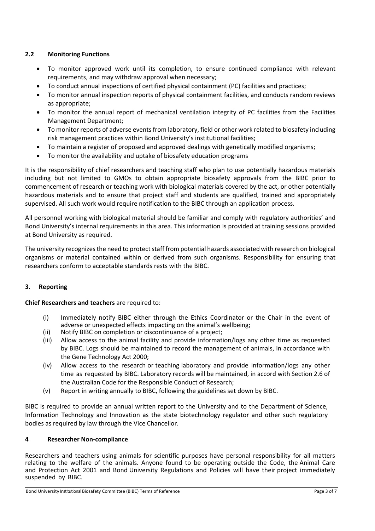### **2.2 Monitoring Functions**

- To monitor approved work until its completion, to ensure continued compliance with relevant requirements, and may withdraw approval when necessary;
- To conduct annual inspections of certified physical containment (PC) facilities and practices;
- To monitor annual inspection reports of physical containment facilities, and conducts random reviews as appropriate;
- To monitor the annual report of mechanical ventilation integrity of PC facilities from the Facilities Management Department;
- To monitor reports of adverse events from laboratory, field or other work related to biosafety including risk management practices within Bond University's institutional facilities;
- To maintain a register of proposed and approved dealings with genetically modified organisms;
- To monitor the availability and uptake of biosafety education programs

It is the responsibility of chief researchers and teaching staff who plan to use potentially hazardous materials including but not limited to GMOs to obtain appropriate biosafety approvals from the BIBC prior to commencement of research or teaching work with biological materials covered by the act, or other potentially hazardous materials and to ensure that project staff and students are qualified, trained and appropriately supervised. All such work would require notification to the BIBC through an application process.

All personnel working with biological material should be familiar and comply with regulatory authorities' and Bond University's internal requirements in this area. This information is provided at training sessions provided at Bond University as required.

The university recognizes the need to protect staff from potential hazards associated with research on biological organisms or material contained within or derived from such organisms. Responsibility for ensuring that researchers conform to acceptable standards rests with the BIBC.

### **3. Reporting**

**Chief Researchers and teachers** are required to:

- (i) Immediately notify BIBC either through the Ethics Coordinator or the Chair in the event of adverse or unexpected effects impacting on the animal's wellbeing;
- (ii) Notify BIBC on completion or discontinuance of a project;
- (iii) Allow access to the animal facility and provide information/logs any other time as requested by BIBC. Logs should be maintained to record the management of animals, in accordance with the Gene Technology Act 2000;
- (iv) Allow access to the research or teaching laboratory and provide information/logs any other time as requested by BIBC. Laboratory records will be maintained, in accord with Section 2.6 of the Australian Code for the Responsible Conduct of Research;
- (v) Report in writing annually to BIBC, following the guidelines set down by BIBC.

BIBC is required to provide an annual written report to the University and to the Department of Science, Information Technology and Innovation as the state biotechnology regulator and other such regulatory bodies as required by law through the Vice Chancellor.

#### **4 Researcher Non-compliance**

Researchers and teachers using animals for scientific purposes have personal responsibility for all matters relating to the welfare of the animals. Anyone found to be operating outside the Code, the Animal Care and Protection Act 2001 and Bond University Regulations and Policies will have their project immediately suspended by BIBC.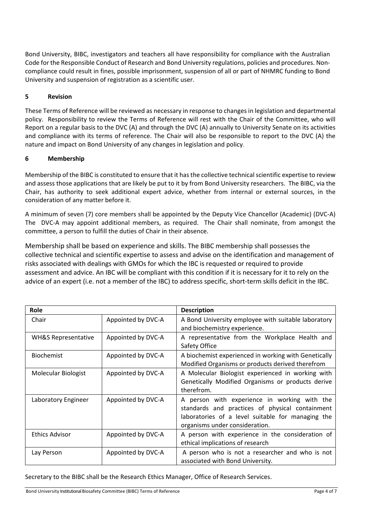Bond University, BIBC, investigators and teachers all have responsibility for compliance with the Australian Code for the Responsible Conduct of Research and Bond University regulations, policies and procedures. Noncompliance could result in fines, possible imprisonment, suspension of all or part of NHMRC funding to Bond University and suspension of registration as a scientific user.

### **5 Revision**

These Terms of Reference will be reviewed as necessary in response to changes in legislation and departmental policy. Responsibility to review the Terms of Reference will rest with the Chair of the Committee, who will Report on a regular basis to the DVC (A) and through the DVC (A) annually to University Senate on its activities and compliance with its terms of reference. The Chair will also be responsible to report to the DVC (A) the nature and impact on Bond University of any changes in legislation and policy.

### **6 Membership**

Membership of the BIBC is constituted to ensure that it has the collective technical scientific expertise to review and assess those applications that are likely be put to it by from Bond University researchers. The BIBC, via the Chair, has authority to seek additional expert advice, whether from internal or external sources, in the consideration of any matter before it.

A minimum of seven (7) core members shall be appointed by the Deputy Vice Chancellor (Academic) (DVC-A) The DVC-A may appoint additional members, as required. The Chair shall nominate, from amongst the committee, a person to fulfill the duties of Chair in their absence.

Membership shall be based on experience and skills. The BIBC membership shall possesses the collective technical and scientific expertise to assess and advise on the identification and management of risks associated with dealings with GMOs for which the IBC is requested or required to provide assessment and advice. An IBC will be compliant with this condition if it is necessary for it to rely on the advice of an expert (i.e. not a member of the IBC) to address specific, short-term skills deficit in the IBC.

| Role                           |                    | <b>Description</b>                                                                                                                                                                     |  |
|--------------------------------|--------------------|----------------------------------------------------------------------------------------------------------------------------------------------------------------------------------------|--|
| Chair                          | Appointed by DVC-A | A Bond University employee with suitable laboratory<br>and biochemistry experience.                                                                                                    |  |
| <b>WH&amp;S Representative</b> | Appointed by DVC-A | A representative from the Workplace Health and<br>Safety Office                                                                                                                        |  |
| <b>Biochemist</b>              | Appointed by DVC-A | A biochemist experienced in working with Genetically<br>Modified Organisms or products derived therefrom                                                                               |  |
| Molecular Biologist            | Appointed by DVC-A | A Molecular Biologist experienced in working with<br>Genetically Modified Organisms or products derive<br>therefrom.                                                                   |  |
| Laboratory Engineer            | Appointed by DVC-A | A person with experience in working with the<br>standards and practices of physical containment<br>laboratories of a level suitable for managing the<br>organisms under consideration. |  |
| Ethics Advisor                 | Appointed by DVC-A | A person with experience in the consideration of<br>ethical implications of research                                                                                                   |  |
| Lay Person                     | Appointed by DVC-A | A person who is not a researcher and who is not<br>associated with Bond University.                                                                                                    |  |

Secretary to the BIBC shall be the Research Ethics Manager, Office of Research Services.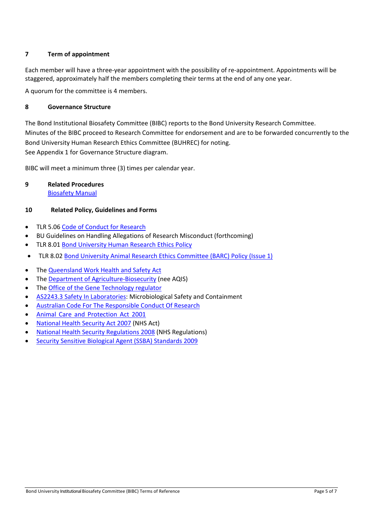### **7 Term of appointment**

Each member will have a three-year appointment with the possibility of re-appointment. Appointments will be staggered, approximately half the members completing their terms at the end of any one year.

A quorum for the committee is 4 members.

#### **8 Governance Structure**

The Bond Institutional Biosafety Committee (BIBC) reports to the Bond University Research Committee. Minutes of the BIBC proceed to Research Committee for endorsement and are to be forwarded concurrently to the Bond University Human Research Ethics Committee (BUHREC) for noting. See Appendix 1 for Governance Structure diagram.

BIBC will meet a minimum three (3) times per calendar year.

## **9 Related Procedures**

[Biosafety Manual](https://bond.edu.au/files/3821/Biosafety%20Manual.pdf)

### **10 Related Policy, Guidelines and Forms**

- [TLR 5.06](http://www.staff.bond.edu.au/quality/policies/teaching/TLR506.pdf) [Code of Conduct for Research](https://www.staff.bond.edu.au/quality/policies/teaching/TLR506.pdf)
- BU Guidelines on Handling Allegations of Research Misconduct (forthcoming)
- [TLR 8.01](http://www.staff.bond.edu.au/quality/policies/teaching/TLR801.pdf) Bond University Human [Research Ethics Policy](https://www.staff.bond.edu.au/quality/policies/teaching/TLR801.pdf)
- TLR 8.02 [Bond University Animal Research Ethics Committee \(BARC\) Policy \(Issue 1\)](https://www.staff.bond.edu.au/quality/policies/teaching/TLR802.pdf)
- The [Queensland Work Health and Safety Act](https://www.legislation.qld.gov.au/LEGISLTN/CURRENT/W/WorkHSA11.pdf)
- The [Department of Agriculture-Biosecurity](http://www.agriculture.gov.au/biosecurity) (nee AQIS)
- The [Office of the Gene Technology regulator](http://www.ogtr.gov.au/)
- [AS2243.3 Safety In Laboratories:](https://archive.org/details/as-nzs.2243.3.2010) Microbiological Safety and Containment
- [Australian Code For The Responsible Conduct Of Research](https://www.nhmrc.gov.au/guidelines-publications/r39)
- Animal Care and [Protection](https://www.legislation.qld.gov.au/LEGISLTN/CURRENT/A/AnimalCaPrA01.pdf) Act 20[01](https://www.legislation.qld.gov.au/LEGISLTN/CURRENT/A/AnimalCaPrA01.pdf)
- [National Health Security Act 2007](https://www.legislation.gov.au/Details/C2010C00816) (NHS Act)
- [National Health Security Regulations 2008](https://www.legislation.gov.au/Details/F2013C00171) (NHS Regulations)
- [Security Sensitive Biological Agent \(SSBA\) Standards 2009](https://www.health.gov.au/internet/main/publishing.nsf/Content/ssba.htm/$File/SSBA-April-2013.pdf)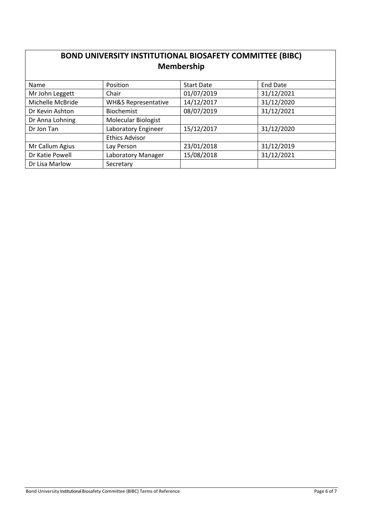| <b>BOND UNIVERSITY INSTITUTIONAL BIOSAFETY COMMITTEE (BIBC)</b><br><b>Membership</b> |                                |                   |                 |  |  |
|--------------------------------------------------------------------------------------|--------------------------------|-------------------|-----------------|--|--|
| Name                                                                                 | Position                       | <b>Start Date</b> | <b>End Date</b> |  |  |
| Mr John Leggett                                                                      | Chair                          | 01/07/2019        | 31/12/2021      |  |  |
| Michelle McBride                                                                     | <b>WH&amp;S Representative</b> | 14/12/2017        | 31/12/2020      |  |  |
| Dr Kevin Ashton                                                                      | <b>Biochemist</b>              | 08/07/2019        | 31/12/2021      |  |  |
| Dr Anna Lohning                                                                      | Molecular Biologist            |                   |                 |  |  |
| Dr Jon Tan                                                                           | Laboratory Engineer            | 15/12/2017        | 31/12/2020      |  |  |
|                                                                                      | <b>Ethics Advisor</b>          |                   |                 |  |  |
| Mr Callum Agius                                                                      | Lay Person                     | 23/01/2018        | 31/12/2019      |  |  |
| Dr Katie Powell                                                                      | Laboratory Manager             | 15/08/2018        | 31/12/2021      |  |  |
| Dr Lisa Marlow                                                                       | Secretary                      |                   |                 |  |  |